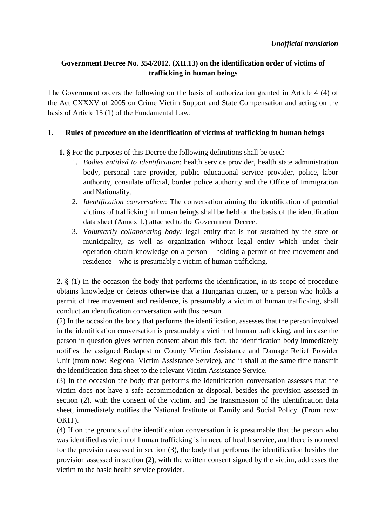## **Government Decree No. 354/2012. (XII.13) on the identification order of victims of trafficking in human beings**

The Government orders the following on the basis of authorization granted in Article 4 (4) of the Act CXXXV of 2005 on Crime Victim Support and State Compensation and acting on the basis of Article 15 (1) of the Fundamental Law:

### **1. Rules of procedure on the identification of victims of trafficking in human beings**

**1. §** For the purposes of this Decree the following definitions shall be used:

- 1. *Bodies entitled to identification*: health service provider, health state administration body, personal care provider, public educational service provider, police, labor authority, consulate official, border police authority and the Office of Immigration and Nationality.
- 2. *Identification conversation*: The conversation aiming the identification of potential victims of trafficking in human beings shall be held on the basis of the identification data sheet (Annex 1.) attached to the Government Decree.
- 3. *Voluntarily collaborating body:* legal entity that is not sustained by the state or municipality, as well as organization without legal entity which under their operation obtain knowledge on a person – holding a permit of free movement and residence – who is presumably a victim of human trafficking.

**2. §** (1) In the occasion the body that performs the identification, in its scope of procedure obtains knowledge or detects otherwise that a Hungarian citizen, or a person who holds a permit of free movement and residence, is presumably a victim of human trafficking, shall conduct an identification conversation with this person.

(2) In the occasion the body that performs the identification, assesses that the person involved in the identification conversation is presumably a victim of human trafficking, and in case the person in question gives written consent about this fact, the identification body immediately notifies the assigned Budapest or County Victim Assistance and Damage Relief Provider Unit (from now: Regional Victim Assistance Service), and it shall at the same time transmit the identification data sheet to the relevant Victim Assistance Service.

(3) In the occasion the body that performs the identification conversation assesses that the victim does not have a safe accommodation at disposal, besides the provision assessed in section (2), with the consent of the victim, and the transmission of the identification data sheet, immediately notifies the National Institute of Family and Social Policy. (From now: OKIT).

(4) If on the grounds of the identification conversation it is presumable that the person who was identified as victim of human trafficking is in need of health service, and there is no need for the provision assessed in section (3), the body that performs the identification besides the provision assessed in section (2), with the written consent signed by the victim, addresses the victim to the basic health service provider.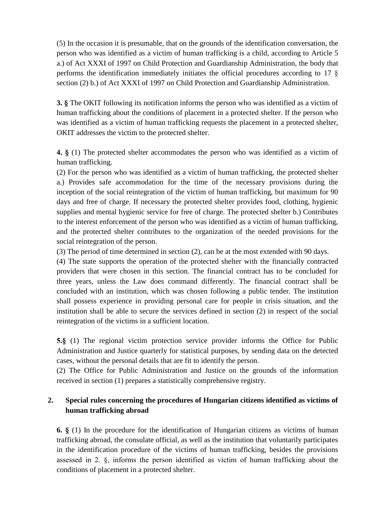(5) In the occasion it is presumable, that on the grounds of the identification conversation, the person who was identified as a victim of human trafficking is a child, according to Article 5 a.) of Act XXXI of 1997 on Child Protection and Guardianship Administration, the body that performs the identification immediately initiates the official procedures according to 17 § section (2) b.) of Act XXXI of 1997 on Child Protection and Guardianship Administration.

**3. §** The OKIT following its notification informs the person who was identified as a victim of human trafficking about the conditions of placement in a protected shelter. If the person who was identified as a victim of human trafficking requests the placement in a protected shelter, OKIT addresses the victim to the protected shelter.

**4. §** (1) The protected shelter accommodates the person who was identified as a victim of human trafficking.

(2) For the person who was identified as a victim of human trafficking, the protected shelter a.) Provides safe accommodation for the time of the necessary provisions during the inception of the social reintegration of the victim of human trafficking, but maximum for 90 days and free of charge. If necessary the protected shelter provides food, clothing, hygienic supplies and mental hygienic service for free of charge. The protected shelter b.) Contributes to the interest enforcement of the person who was identified as a victim of human trafficking, and the protected shelter contributes to the organization of the needed provisions for the social reintegration of the person.

(3) The period of time determined in section (2), can be at the most extended with 90 days.

(4) The state supports the operation of the protected shelter with the financially contracted providers that were chosen in this section. The financial contract has to be concluded for three years, unless the Law does command differently. The financial contract shall be concluded with an institution, which was chosen following a public tender. The institution shall possess experience in providing personal care for people in crisis situation, and the institution shall be able to secure the services defined in section (2) in respect of the social reintegration of the victims in a sufficient location.

**5.§** (1) The regional victim protection service provider informs the Office for Public Administration and Justice quarterly for statistical purposes, by sending data on the detected cases, without the personal details that are fit to identify the person.

(2) The Office for Public Administration and Justice on the grounds of the information received in section (1) prepares a statistically comprehensive registry.

## **2. Special rules concerning the procedures of Hungarian citizens identified as victims of human trafficking abroad**

**6. §** (1) In the procedure for the identification of Hungarian citizens as victims of human trafficking abroad, the consulate official, as well as the institution that voluntarily participates in the identification procedure of the victims of human trafficking, besides the provisions assessed in 2. §, informs the person identified as victim of human trafficking about the conditions of placement in a protected shelter.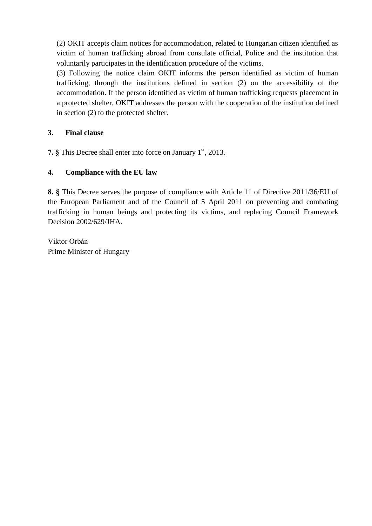(2) OKIT accepts claim notices for accommodation, related to Hungarian citizen identified as victim of human trafficking abroad from consulate official, Police and the institution that voluntarily participates in the identification procedure of the victims.

(3) Following the notice claim OKIT informs the person identified as victim of human trafficking, through the institutions defined in section (2) on the accessibility of the accommodation. If the person identified as victim of human trafficking requests placement in a protected shelter, OKIT addresses the person with the cooperation of the institution defined in section (2) to the protected shelter.

## **3. Final clause**

**7.** § This Decree shall enter into force on January 1<sup>st</sup>, 2013.

# **4. Compliance with the EU law**

**8. §** This Decree serves the purpose of compliance with Article 11 of Directive 2011/36/EU of the European Parliament and of the Council of 5 April 2011 on preventing and combating trafficking in human beings and protecting its victims, and replacing Council Framework Decision 2002/629/JHA.

Viktor Orbán Prime Minister of Hungary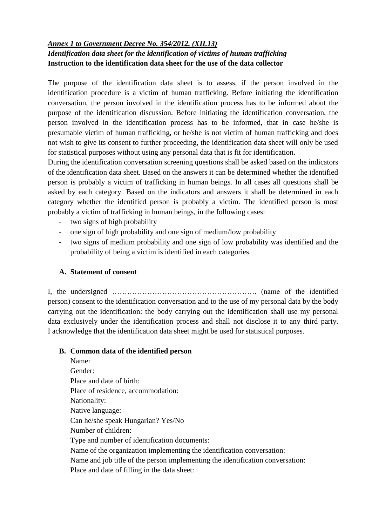## *Annex 1 to Government Decree No. 354/2012. (XII.13) Identification data sheet for the identification of victims of human trafficking* **Instruction to the identification data sheet for the use of the data collector**

The purpose of the identification data sheet is to assess, if the person involved in the identification procedure is a victim of human trafficking. Before initiating the identification conversation, the person involved in the identification process has to be informed about the purpose of the identification discussion. Before initiating the identification conversation, the person involved in the identification process has to be informed, that in case he/she is presumable victim of human trafficking, or he/she is not victim of human trafficking and does not wish to give its consent to further proceeding, the identification data sheet will only be used for statistical purposes without using any personal data that is fit for identification.

During the identification conversation screening questions shall be asked based on the indicators of the identification data sheet. Based on the answers it can be determined whether the identified person is probably a victim of trafficking in human beings. In all cases all questions shall be asked by each category. Based on the indicators and answers it shall be determined in each category whether the identified person is probably a victim. The identified person is most probably a victim of trafficking in human beings, in the following cases:

- two signs of high probability
- one sign of high probability and one sign of medium/low probability
- two signs of medium probability and one sign of low probability was identified and the probability of being a victim is identified in each categories.

## **A. Statement of consent**

I, the undersigned …………………………………………………. (name of the identified person) consent to the identification conversation and to the use of my personal data by the body carrying out the identification: the body carrying out the identification shall use my personal data exclusively under the identification process and shall not disclose it to any third party. I acknowledge that the identification data sheet might be used for statistical purposes.

#### **B. Common data of the identified person**

Name: Gender: Place and date of birth: Place of residence, accommodation: Nationality: Native language: Can he/she speak Hungarian? Yes/No Number of children: Type and number of identification documents: Name of the organization implementing the identification conversation: Name and job title of the person implementing the identification conversation: Place and date of filling in the data sheet: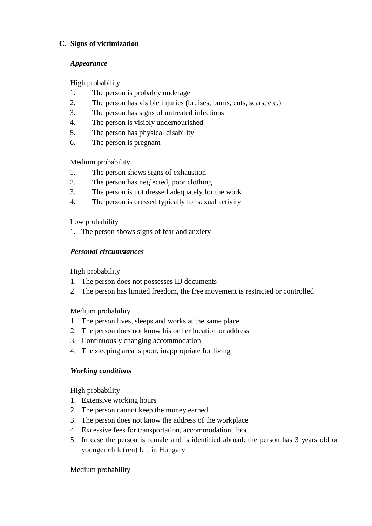## **C. Signs of victimization**

### *Appearance*

High probability

- 1. The person is probably underage
- 2. The person has visible injuries (bruises, burns, cuts, scars, etc.)
- 3. The person has signs of untreated infections
- 4. The person is visibly undernourished
- 5. The person has physical disability
- 6. The person is pregnant

Medium probability

- 1. The person shows signs of exhaustion
- 2. The person has neglected, poor clothing
- 3. The person is not dressed adequately for the work
- 4. The person is dressed typically for sexual activity

Low probability

1. The person shows signs of fear and anxiety

## *Personal circumstances*

High probability

- 1. The person does not possesses ID documents
- 2. The person has limited freedom, the free movement is restricted or controlled

Medium probability

- 1. The person lives, sleeps and works at the same place
- 2. The person does not know his or her location or address
- 3. Continuously changing accommodation
- 4. The sleeping area is poor, inappropriate for living

# *Working conditions*

High probability

- 1. Extensive working hours
- 2. The person cannot keep the money earned
- 3. The person does not know the address of the workplace
- 4. Excessive fees for transportation, accommodation, food
- 5. In case the person is female and is identified abroad: the person has 3 years old or younger child(ren) left in Hungary

Medium probability